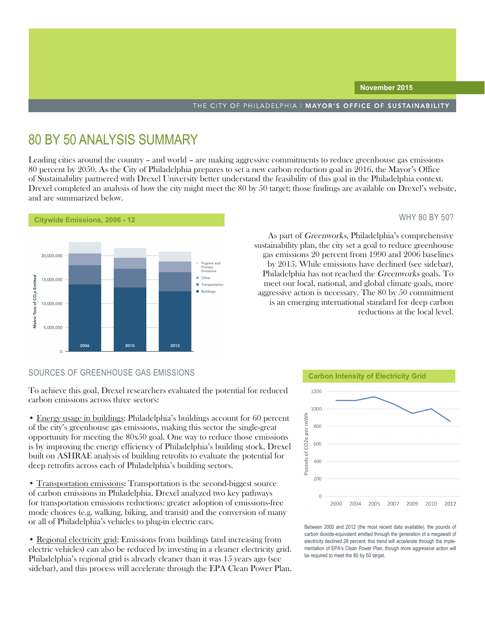# 80 BY 50 ANALYSIS SUMMARY

Leading cities around the country – and world – are making aggressive commitments to reduce greenhouse gas emissions 80 percent by 2050. As the City of Philadelphia prepares to set a new carbon reduction goal in 2016, the Mayor's Office of Sustainability partnered with Drexel University better understand the feasibility of this goal in the Philadelphia context. Drexel completed an analysis of how the city might meet the 80 by 50 target; those findings are available on Drexel's website, and are summarized below.



### WHY 80 BY 50?

As part of Greenworks, Philadelphia's comprehensive sustainability plan, the city set a goal to reduce greenhouse gas emissions 20 percent from 1990 and 2006 baselines by 2015. While emissions have declined (see sidebar), Philadelphia has not reached the Greenworks goals. To meet our local, national, and global climate goals, more aggressive action is necessary. The 80 by 50 commitment is an emerging international standard for deep carbon reductions at the local level.

To achieve this goal, Drexel researchers evaluated the potential for reduced carbon emissions across three sectors:

• Energy usage in buildings: Philadelphia's buildings account for 60 percent of the city's greenhouse gas emissions, making this sector the single-great opportunity for meeting the 80x50 goal. One way to reduce those emissions is by improving the energy efficiency of Philadelphia's building stock. Drexel built on ASHRAE analysis of building retrofits to evaluate the potential for deep retrofits across each of Philadelphia's building sectors.

• Transportation emissions: Transportation is the second-biggest source of carbon emissions in Philadelphia. Drexel analyzed two key pathways for transportation emissions reductions: greater adoption of emissions-free mode choices (e.g. walking, biking, and transit) and the conversion of many or all of Philadelphia's vehicles to plug-in electric cars.

• Regional electricity grid: Emissions from buildings (and increasing from electric vehicles) can also be reduced by investing in a cleaner electricity grid. Philadelphia's regional grid is already cleaner than it was 15 years ago (see sidebar), and this process will accelerate through the EPA Clean Power Plan.



Between 2000 and 2012 (the most recent data available), the pounds of carbon dioxide-equivalent emitted through the generation of a megawatt of electricity declined 28 percent; this trend will accelerate through the implementation of EPA's Clean Power Plan, though more aggressive action will be required to meet the 80 by 50 target.